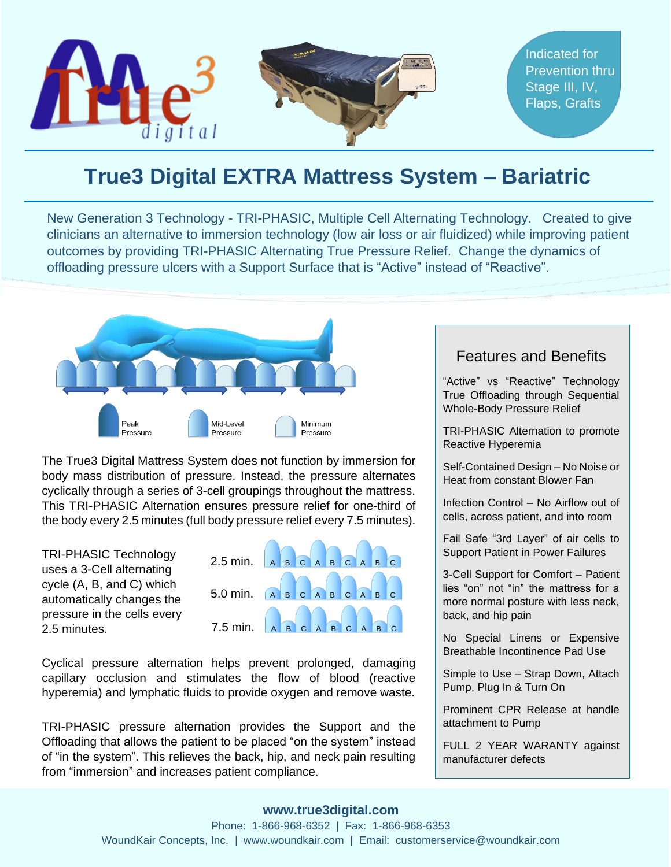

## **True3 Digital EXTRA Mattress System – Bariatric**

New Generation 3 Technology - TRI-PHASIC, Multiple Cell Alternating Technology. Created to give clinicians an alternative to immersion technology (low air loss or air fluidized) while improving patient outcomes by providing TRI-PHASIC Alternating True Pressure Relief. Change the dynamics of offloading pressure ulcers with a Support Surface that is "Active" instead of "Reactive".



 The True3 Digital Mattress System does not function by immersion for body mass distribution of pressure. Instead, the pressure alternates cyclically through a series of 3-cell groupings throughout the mattress. This TRI-PHASIC Alternation ensures pressure relief for one-third of the body every 2.5 minutes (full body pressure relief every 7.5 minutes).

TRI-PHASIC Technology uses a 3-Cell alternating cycle (A, B, and C) which automatically changes the pressure in the cells every 2.5 minutes.



Cyclical pressure alternation helps prevent prolonged, damaging capillary occlusion and stimulates the flow of blood (reactive hyperemia) and lymphatic fluids to provide oxygen and remove waste.

TRI-PHASIC pressure alternation provides the Support and the Offloading that allows the patient to be placed "on the system" instead of "in the system". This relieves the back, hip, and neck pain resulting from "immersion" and increases patient compliance.

#### Features and Benefits

"Active" vs "Reactive" Technology True Offloading through Sequential Whole-Body Pressure Relief

TRI-PHASIC Alternation to promote Reactive Hyperemia

Self-Contained Design – No Noise or Heat from constant Blower Fan

Infection Control – No Airflow out of cells, across patient, and into room

Fail Safe "3rd Layer" of air cells to Support Patient in Power Failures

3-Cell Support for Comfort – Patient lies "on" not "in" the mattress for a more normal posture with less neck, back, and hip pain

No Special Linens or Expensive Breathable Incontinence Pad Use

Simple to Use – Strap Down, Attach Pump, Plug In & Turn On

Prominent CPR Release at handle attachment to Pump

FULL 2 YEAR WARANTY against manufacturer defects